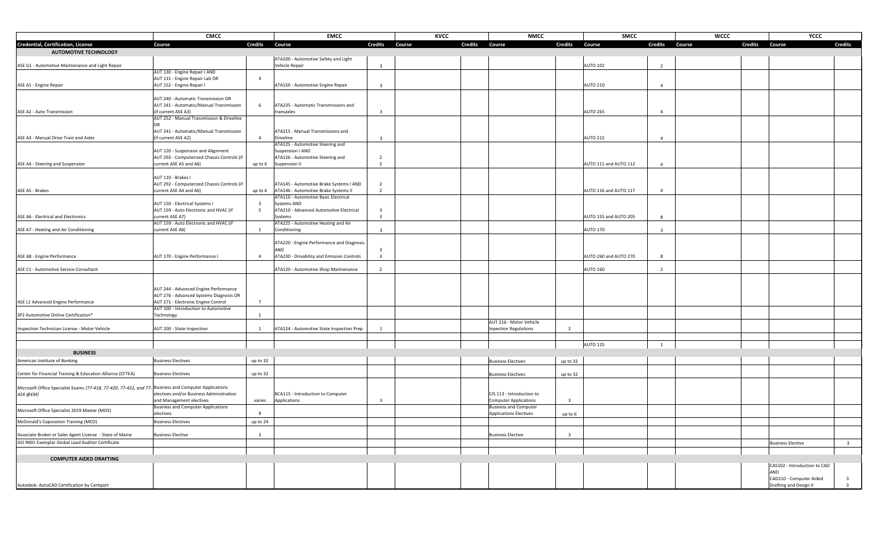|                                                                                                       | <b>CMCC</b>                                                                       | <b>EMCC</b>                                                  |                                           | <b>KVCC</b>              | <b>NMCC</b>                   | <b>SMCC</b>              |                         | <b>WCCC</b> |                | <b>YCCC</b>                                         |
|-------------------------------------------------------------------------------------------------------|-----------------------------------------------------------------------------------|--------------------------------------------------------------|-------------------------------------------|--------------------------|-------------------------------|--------------------------|-------------------------|-------------|----------------|-----------------------------------------------------|
| <b>Credential, Certification, License</b>                                                             | Course                                                                            | <b>Credits</b><br>Course                                     | <b>Credits</b>                            | <b>Credits</b><br>Course | Course                        | <b>Credits</b><br>Course | <b>Credits</b>          | Course      | <b>Credits</b> | <b>Credits</b><br>Course                            |
| <b>AUTOMOTIVE TECHNOLOGY</b>                                                                          |                                                                                   |                                                              |                                           |                          |                               |                          |                         |             |                |                                                     |
|                                                                                                       |                                                                                   | ATA100 - Automotive Safety and Light                         |                                           |                          |                               |                          |                         |             |                |                                                     |
| ASE G1 - Automotive Maintenance and Light Repair                                                      |                                                                                   | Vehicle Repair                                               | $\overline{\mathbf{3}}$                   |                          |                               | <b>AUTO 102</b>          | $\overline{2}$          |             |                |                                                     |
|                                                                                                       | AUT 130 - Engine Repair I AND                                                     |                                                              |                                           |                          |                               |                          |                         |             |                |                                                     |
|                                                                                                       | AUT 131 - Engine Repair Lab OR                                                    | $\overline{4}$                                               |                                           |                          |                               |                          |                         |             |                |                                                     |
| ASE A1 - Engine Repair                                                                                | AUT 152 - Engine Repair I                                                         | ATA150 - Automotive Engine Repair                            | $\overline{\mathbf{3}}$                   |                          |                               | <b>AUTO 210</b>          | $\overline{4}$          |             |                |                                                     |
|                                                                                                       | AUT 240 - Automatic Transmission OR                                               |                                                              |                                           |                          |                               |                          |                         |             |                |                                                     |
|                                                                                                       | AUT 241 - Automatic/Manual Transmission                                           | ATA235 - Automatic Transmissions and<br>6                    |                                           |                          |                               |                          |                         |             |                |                                                     |
| ASE A2 - Auto Transmission                                                                            | (if current ASE A3)                                                               | transaxles                                                   | $\overline{3}$                            |                          |                               | <b>AUTO 265</b>          | $\overline{4}$          |             |                |                                                     |
|                                                                                                       | AUT 252 - Manual Transmission & Driveline                                         |                                                              |                                           |                          |                               |                          |                         |             |                |                                                     |
|                                                                                                       |                                                                                   |                                                              |                                           |                          |                               |                          |                         |             |                |                                                     |
|                                                                                                       | AUT 241 - Automatic/Manual Transmission                                           | ATA215 - Manual Transmissions and                            |                                           |                          |                               |                          |                         |             |                |                                                     |
| ASE A3 - Manual Drive Train and Axles                                                                 | (if current ASE A2)                                                               | $\overline{4}$<br>Driveline                                  | $\overline{\mathbf{3}}$                   |                          |                               | <b>AUTO 215</b>          | $\overline{4}$          |             |                |                                                     |
|                                                                                                       |                                                                                   | ATA125 - Automotive Steering and                             |                                           |                          |                               |                          |                         |             |                |                                                     |
|                                                                                                       | AUT 120 - Suspension and Alignment<br>AUT 292 - Computerized Chassis Controls (if | Suspension I AND<br>ATA126 - Automotive Steering and         | $\overline{2}$                            |                          |                               |                          |                         |             |                |                                                     |
| ASE A4 - Steering and Suspension                                                                      | current ASE A5 and A6)                                                            | up to 6<br>Suspension II                                     | $\overline{2}$                            |                          |                               | AUTO 111 and AUTO 112    | $\overline{a}$          |             |                |                                                     |
|                                                                                                       |                                                                                   |                                                              |                                           |                          |                               |                          |                         |             |                |                                                     |
|                                                                                                       | AUT 110 - Brakes I                                                                |                                                              |                                           |                          |                               |                          |                         |             |                |                                                     |
|                                                                                                       | AUT 292 - Computerized Chassis Controls (if                                       | ATA145 - Automotive Brake Systems I AND                      | $\overline{2}$                            |                          |                               |                          |                         |             |                |                                                     |
| ASE A5 - Brakes                                                                                       | current ASE A4 and A6)                                                            | ATA146 - Automotive Brake Systems II<br>up to 6              | $\overline{2}$                            |                          |                               | AUTO 116 and AUTO 117    | $\overline{4}$          |             |                |                                                     |
|                                                                                                       |                                                                                   | ATA110 - Automotive Basic Electrical                         |                                           |                          |                               |                          |                         |             |                |                                                     |
|                                                                                                       | AUT 150 - Electrical Systems I                                                    | Systems AND<br>$\mathbf{3}$                                  |                                           |                          |                               |                          |                         |             |                |                                                     |
|                                                                                                       | AUT 159 - Auto Electronic and HVAC (if                                            | ATA210 - Advanced Automotive Electrical<br>-5                | $\overline{\mathbf{3}}$<br>$\overline{3}$ |                          |                               |                          |                         |             |                |                                                     |
| ASE A6 - Electrical and Electronics                                                                   | current ASE A7)<br>AUT 159 - Auto Electronic and HVAC (if                         | Systems<br>ATA225 - Automotive Heating and Air               |                                           |                          |                               | AUTO 155 and AUTO 205    | 8                       |             |                |                                                     |
| ASE A7 - Heating and Air Conditioning                                                                 | current ASE A6)                                                                   | Conditioning<br>$\mathbf{1}$                                 | $\overline{\mathbf{3}}$                   |                          |                               | <b>AUTO 170</b>          | $\overline{\mathbf{3}}$ |             |                |                                                     |
|                                                                                                       |                                                                                   |                                                              |                                           |                          |                               |                          |                         |             |                |                                                     |
|                                                                                                       |                                                                                   | ATA220 - Engine Performance and Diagnosis                    |                                           |                          |                               |                          |                         |             |                |                                                     |
|                                                                                                       |                                                                                   | AND                                                          | $\overline{3}$                            |                          |                               |                          |                         |             |                |                                                     |
| ASE A8 - Engine Performance                                                                           | AUT 170 - Engine Performance I                                                    | ATA230 - Drivability and Emission Controls<br>$\overline{a}$ | $\overline{\mathbf{3}}$                   |                          |                               | AUTO 260 and AUTO 270    | 8                       |             |                |                                                     |
|                                                                                                       |                                                                                   |                                                              |                                           |                          |                               |                          |                         |             |                |                                                     |
| ASE C1 - Automotive Service Consultant                                                                |                                                                                   | ATA120 - Automotive Shop Maintenance                         | $\overline{2}$                            |                          |                               | <b>AUTO 160</b>          | $\overline{2}$          |             |                |                                                     |
|                                                                                                       |                                                                                   |                                                              |                                           |                          |                               |                          |                         |             |                |                                                     |
|                                                                                                       | AUT 244 - Advanced Engine Performance                                             |                                                              |                                           |                          |                               |                          |                         |             |                |                                                     |
|                                                                                                       | AUT 276 - Advanced Systems Diagnosis OR                                           |                                                              |                                           |                          |                               |                          |                         |             |                |                                                     |
| ASE L1 Advanced Engine Performance                                                                    | AUT 271 - Electronic Engine Control                                               | $\overline{7}$                                               |                                           |                          |                               |                          |                         |             |                |                                                     |
|                                                                                                       | AUT 100 - Introduction to Automotive                                              |                                                              |                                           |                          |                               |                          |                         |             |                |                                                     |
| SP2 Automotive Online Certification*                                                                  | Technology                                                                        | $\mathbf{1}$                                                 |                                           |                          |                               |                          |                         |             |                |                                                     |
|                                                                                                       |                                                                                   |                                                              |                                           |                          | AUT 216 - Motor Vehicle       |                          |                         |             |                |                                                     |
| Inspection Technician License - Motor Vehicle                                                         | AUT 200 - State Inspection                                                        | ATA124 - Automotive State Inspection Prep<br><sup>1</sup>    | 1                                         |                          | <b>Inpection Regulations</b>  | $\overline{2}$           |                         |             |                |                                                     |
|                                                                                                       |                                                                                   |                                                              |                                           |                          |                               |                          |                         |             |                |                                                     |
|                                                                                                       |                                                                                   |                                                              |                                           |                          |                               | <b>AUTO 125</b>          | $\mathbf{1}$            |             |                |                                                     |
| <b>BUSINESS</b>                                                                                       |                                                                                   |                                                              |                                           |                          |                               |                          |                         |             |                |                                                     |
| American Institute of Banking                                                                         | <b>Business Electives</b>                                                         | up to 32                                                     |                                           |                          | <b>Business Electives</b>     | up to 32                 |                         |             |                |                                                     |
|                                                                                                       |                                                                                   |                                                              |                                           |                          |                               |                          |                         |             |                |                                                     |
| Center for Financial Training & Education Alliance (CFTEA)                                            | <b>Business Electives</b>                                                         | up to 32                                                     |                                           |                          | <b>Business Electives</b>     | up to 32                 |                         |             |                |                                                     |
|                                                                                                       |                                                                                   |                                                              |                                           |                          |                               |                          |                         |             |                |                                                     |
| Microsoft Office Specialist Exams (77-418, 77-420, 77-422, and 77- Business and Computer Applications | electives and/or Business Administration                                          | BCA115 - Introduction to Computer                            |                                           |                          | CIS 113 - Introduction to     |                          |                         |             |                |                                                     |
| 424 @EM)                                                                                              | and Management electives                                                          | varies<br>Applications                                       | $\overline{3}$                            |                          | <b>Computer Applications</b>  | $\overline{3}$           |                         |             |                |                                                     |
|                                                                                                       | <b>Business and Computer Applications</b>                                         |                                                              |                                           |                          | <b>Business and Computer</b>  |                          |                         |             |                |                                                     |
| Microsoft Office Specialist 2019 Master (MOS)                                                         | electives                                                                         | $\mathbf{q}$                                                 |                                           |                          | <b>Applications Electives</b> | up to 6                  |                         |             |                |                                                     |
| McDonald's Coporation Training (MCD)                                                                  | <b>Business Electives</b>                                                         | up to 24                                                     |                                           |                          |                               |                          |                         |             |                |                                                     |
|                                                                                                       |                                                                                   |                                                              |                                           |                          |                               |                          |                         |             |                |                                                     |
| Associate Broker or Sales Agent License - State of Maine                                              | <b>Business Elective</b>                                                          | $\overline{\mathbf{3}}$                                      |                                           |                          | <b>Business Elective</b>      | $\overline{\mathbf{3}}$  |                         |             |                |                                                     |
| ISO 9001 Exemplar Global Lead Auditor Certificate                                                     |                                                                                   |                                                              |                                           |                          |                               |                          |                         |             |                | <b>Business Elective</b><br>$\overline{\mathbf{3}}$ |
|                                                                                                       |                                                                                   |                                                              |                                           |                          |                               |                          |                         |             |                |                                                     |
| <b>COMPUTER AIDED DRAFTING</b>                                                                        |                                                                                   |                                                              |                                           |                          |                               |                          |                         |             |                |                                                     |
|                                                                                                       |                                                                                   |                                                              |                                           |                          |                               |                          |                         |             |                | CAS102 - Introduction to CAD                        |
|                                                                                                       |                                                                                   |                                                              |                                           |                          |                               |                          |                         |             |                | AND                                                 |
|                                                                                                       |                                                                                   |                                                              |                                           |                          |                               |                          |                         |             |                | CAD210 - Computer Aided<br>$\overline{3}$           |
| Autodesk: AutoCAD Certification by Certiport                                                          |                                                                                   |                                                              |                                           |                          |                               |                          |                         |             |                | Drafting and Design II<br>$\overline{3}$            |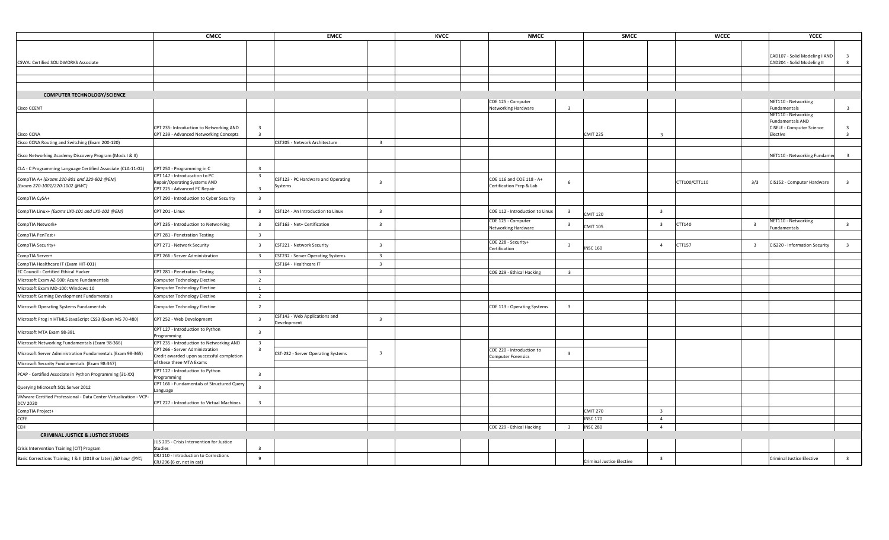|                                                                   | CMCC                                                                  |                         | <b>EMCC</b>                                  |                         | <b>KVCC</b> | <b>NMCC</b>                               |                         | <b>SMCC</b>                      |                         | <b>WCCC</b>   |                         | YCCC                                |                         |
|-------------------------------------------------------------------|-----------------------------------------------------------------------|-------------------------|----------------------------------------------|-------------------------|-------------|-------------------------------------------|-------------------------|----------------------------------|-------------------------|---------------|-------------------------|-------------------------------------|-------------------------|
|                                                                   |                                                                       |                         |                                              |                         |             |                                           |                         |                                  |                         |               |                         |                                     |                         |
|                                                                   |                                                                       |                         |                                              |                         |             |                                           |                         |                                  |                         |               |                         | CAD107 - Solid Modeling I AND       | $\overline{\mathbf{3}}$ |
| CSWA: Certified SOLIDWORKS Associate                              |                                                                       |                         |                                              |                         |             |                                           |                         |                                  |                         |               |                         | CAD204 - Solid Modeling II          | $\overline{\mathbf{3}}$ |
|                                                                   |                                                                       |                         |                                              |                         |             |                                           |                         |                                  |                         |               |                         |                                     |                         |
|                                                                   |                                                                       |                         |                                              |                         |             |                                           |                         |                                  |                         |               |                         |                                     |                         |
|                                                                   |                                                                       |                         |                                              |                         |             |                                           |                         |                                  |                         |               |                         |                                     |                         |
| <b>COMPUTER TECHNOLOGY/SCIENCE</b>                                |                                                                       |                         |                                              |                         |             |                                           |                         |                                  |                         |               |                         |                                     |                         |
|                                                                   |                                                                       |                         |                                              |                         |             | COE 125 - Computer                        |                         |                                  |                         |               |                         | NET110 - Networking                 |                         |
| <b>Cisco CCENT</b>                                                |                                                                       |                         |                                              |                         |             | Networking Hardware                       | $\overline{\mathbf{3}}$ |                                  |                         |               |                         | Fundamentals<br>NET110 - Networking | $\overline{\mathbf{3}}$ |
|                                                                   |                                                                       |                         |                                              |                         |             |                                           |                         |                                  |                         |               |                         | Fundamentals AND                    |                         |
|                                                                   | CPT 235- Introduction to Networking AND                               | $\overline{\mathbf{3}}$ |                                              |                         |             |                                           |                         |                                  |                         |               |                         | CISELE - Computer Science           | $\overline{\mathbf{3}}$ |
| Cisco CCNA                                                        | CPT 239 - Advanced Networking Concepts                                | $\overline{\mathbf{3}}$ |                                              |                         |             |                                           |                         | <b>CMIT 225</b>                  | $\overline{\mathbf{3}}$ |               |                         | Elective                            | $\overline{\mathbf{3}}$ |
| Cisco CCNA Routing and Switching (Exam 200-120)                   |                                                                       |                         | CST205 - Network Architecture                | $\overline{\mathbf{3}}$ |             |                                           |                         |                                  |                         |               |                         |                                     |                         |
| Cisco Networking Academy Discovery Program (Mods I & II)          |                                                                       |                         |                                              |                         |             |                                           |                         |                                  |                         |               |                         | NET110 - Networking Fundame         | $\overline{3}$          |
| CLA - C Programming Language Certified Associate (CLA-11-02)      | CPT 250 - Programming in C                                            | $\overline{\mathbf{3}}$ |                                              |                         |             |                                           |                         |                                  |                         |               |                         |                                     |                         |
| CompTIA A+ (Exams 220-801 and 220-802 @EM)                        | CPT 147 - Introducation to PC                                         | $\overline{\mathbf{3}}$ | CST123 - PC Hardware and Operating           |                         |             | COE 116 and COE 118 - A+                  |                         |                                  |                         |               |                         |                                     |                         |
| (Exams 220-1001/220-1002 @WC)                                     | Repair/Operating Systems AND<br>CPT 225 - Advanced PC Repair          |                         | Systems                                      | $\overline{\mathbf{3}}$ |             | Certification Prep & Lab                  | 6                       |                                  |                         | CTT100/CTT110 | 3/3                     | CIS152 - Computer Hardware          | $\overline{\mathbf{3}}$ |
|                                                                   |                                                                       | $\overline{\mathbf{3}}$ |                                              |                         |             |                                           |                         |                                  |                         |               |                         |                                     |                         |
| CompTIA CySA+                                                     | CPT 290 - Introduction to Cyber Security                              |                         |                                              |                         |             |                                           |                         |                                  |                         |               |                         |                                     |                         |
| CompTIA Linux+ (Exams LX0-101 and LX0-102 @EM)                    | CPT 201 - Linux                                                       | $\overline{\mathbf{3}}$ | CST124 - An Introduction to Linux            | $\overline{\mathbf{3}}$ |             | COE 112 - Introduction to Linux           | $\overline{\mathbf{3}}$ | <b>CMIT 120</b>                  | $\overline{\mathbf{3}}$ |               |                         |                                     |                         |
| CompTIA Network+                                                  | CPT 235 - Introduction to Networking                                  | $\overline{\mathbf{3}}$ | CST163 - Net+ Certification                  | $\overline{\mathbf{3}}$ |             | COE 125 - Computer<br>Networking Hardware | $\overline{\mathbf{3}}$ | <b>CMIT 105</b>                  | $\overline{\mathbf{3}}$ | CTT140        | $\overline{\mathbf{3}}$ | NET110 - Networking<br>Fundamentals | $\overline{\mathbf{3}}$ |
| CompTIA PenTest+                                                  | CPT 281 - Penetration Testing                                         | $\overline{\mathbf{3}}$ |                                              |                         |             |                                           |                         |                                  |                         |               |                         |                                     |                         |
| CompTIA Security+                                                 | CPT 271 - Network Security                                            | $\overline{\mathbf{3}}$ | CST221 - Network Security                    | $\overline{\mathbf{3}}$ |             | COE 228 - Security+<br>Certification      | $\overline{\mathbf{3}}$ | <b>INSC 160</b>                  | $\overline{4}$          | CTT157        | $\overline{\mathbf{3}}$ | CIS220 - Information Security       | $\overline{\mathbf{3}}$ |
| CompTIA Server+                                                   | CPT 266 - Server Administration                                       | $\overline{\mathbf{3}}$ | CST232 - Server Operating Systems            | $\overline{\mathbf{3}}$ |             |                                           |                         |                                  |                         |               |                         |                                     |                         |
| CompTIA Healthcare IT (Exam HIT-001)                              |                                                                       |                         | CST164 - Healthcare IT                       | $\overline{\mathbf{3}}$ |             |                                           |                         |                                  |                         |               |                         |                                     |                         |
| EC Council - Certified Ethical Hacker                             | CPT 281 - Penetration Testing                                         | $\overline{\mathbf{3}}$ |                                              |                         |             | COE 229 - Ethical Hacking                 | $\overline{\mathbf{3}}$ |                                  |                         |               |                         |                                     |                         |
| Microsoft Exam AZ-900: Azure Fundamentals                         | Computer Technology Elective                                          | $\overline{2}$          |                                              |                         |             |                                           |                         |                                  |                         |               |                         |                                     |                         |
| Microsoft Exam MD-100: Windows 10                                 | <b>Computer Technology Elective</b>                                   | $\overline{1}$          |                                              |                         |             |                                           |                         |                                  |                         |               |                         |                                     |                         |
| Microsoft Gaming Development Fundamentals                         | <b>Computer Technology Elective</b>                                   | $\overline{2}$          |                                              |                         |             |                                           |                         |                                  |                         |               |                         |                                     |                         |
| Microsoft Operating Systems Fundamentals                          | <b>Computer Technology Elective</b>                                   | $\overline{2}$          |                                              |                         |             | COE 113 - Operating Systems               | $\overline{\mathbf{3}}$ |                                  |                         |               |                         |                                     |                         |
| Microsoft Prog in HTML5 JavaScript CSS3 (Exam MS 70-480)          | CPT 252 - Web Development                                             | $\overline{\mathbf{3}}$ | CST143 - Web Applications and<br>Development | $\overline{\mathbf{3}}$ |             |                                           |                         |                                  |                         |               |                         |                                     |                         |
| Microsoft MTA Exam 98-381                                         | CPT 127 - Introduction to Python<br>Programming                       | $\overline{\mathbf{3}}$ |                                              |                         |             |                                           |                         |                                  |                         |               |                         |                                     |                         |
| Microsoft Networking Fundamentals (Exam 98-366)                   | CPT 235 - Introduction to Networking AND                              | $\overline{\mathbf{3}}$ |                                              |                         |             |                                           |                         |                                  |                         |               |                         |                                     |                         |
| Microsoft Server Administration Fundamentals (Exam 98-365)        | CPT 266 - Server Administration                                       |                         | CST-232 - Server Operating Systems           | $\overline{\mathbf{3}}$ |             | COE 220 - Introduction to                 | $\overline{\mathbf{3}}$ |                                  |                         |               |                         |                                     |                         |
| Microsoft Security Fundamentals (Exam 98-367)                     | Credit awarded upon successful completion<br>of these three MTA Exams |                         |                                              |                         |             | <b>Computer Forensics</b>                 |                         |                                  |                         |               |                         |                                     |                         |
|                                                                   | CPT 127 - Introduction to Python                                      |                         |                                              |                         |             |                                           |                         |                                  |                         |               |                         |                                     |                         |
| PCAP - Certified Associate in Python Programming (31-XX)          | Programming                                                           | $\overline{\mathbf{3}}$ |                                              |                         |             |                                           |                         |                                  |                         |               |                         |                                     |                         |
| Querying Microsoft SQL Server 2012                                | CPT 166 - Fundamentals of Structured Query<br>Language                | $\overline{\mathbf{3}}$ |                                              |                         |             |                                           |                         |                                  |                         |               |                         |                                     |                         |
| VMware Certified Professional - Data Center Virtualization - VCP- |                                                                       |                         |                                              |                         |             |                                           |                         |                                  |                         |               |                         |                                     |                         |
| <b>DCV 2020</b>                                                   | CPT 227 - Introduction to Virtual Machines                            | $\overline{\mathbf{3}}$ |                                              |                         |             |                                           |                         |                                  |                         |               |                         |                                     |                         |
| CompTIA Project+                                                  |                                                                       |                         |                                              |                         |             |                                           |                         | <b>CMIT 270</b>                  | $\overline{\mathbf{3}}$ |               |                         |                                     |                         |
| CCFE                                                              |                                                                       |                         |                                              |                         |             |                                           |                         | <b>INSC 170</b>                  | $\overline{4}$          |               |                         |                                     |                         |
| CEH                                                               |                                                                       |                         |                                              |                         |             | COE 229 - Ethical Hacking                 | $\overline{\mathbf{3}}$ | <b>INSC 280</b>                  | $\overline{4}$          |               |                         |                                     |                         |
| <b>CRIMINAL JUSTICE &amp; JUSTICE STUDIES</b>                     | JUS 205 - Crisis Intervention for Justice                             |                         |                                              |                         |             |                                           |                         |                                  |                         |               |                         |                                     |                         |
| Crisis Intervention Training (CIT) Program                        | <b>Studies</b>                                                        | $\overline{\mathbf{3}}$ |                                              |                         |             |                                           |                         |                                  |                         |               |                         |                                     |                         |
| Basic Corrections Training 1 & II (2018 or later) (80 hour @YC)   | CRJ 110 - Introduction to Corrections                                 | 9                       |                                              |                         |             |                                           |                         | <b>Criminal Justice Elective</b> | $\overline{\mathbf{3}}$ |               |                         | Criminal Justice Elective           | $\overline{\mathbf{3}}$ |
|                                                                   | CRJ 296 (6 cr, not in cat)                                            |                         |                                              |                         |             |                                           |                         |                                  |                         |               |                         |                                     |                         |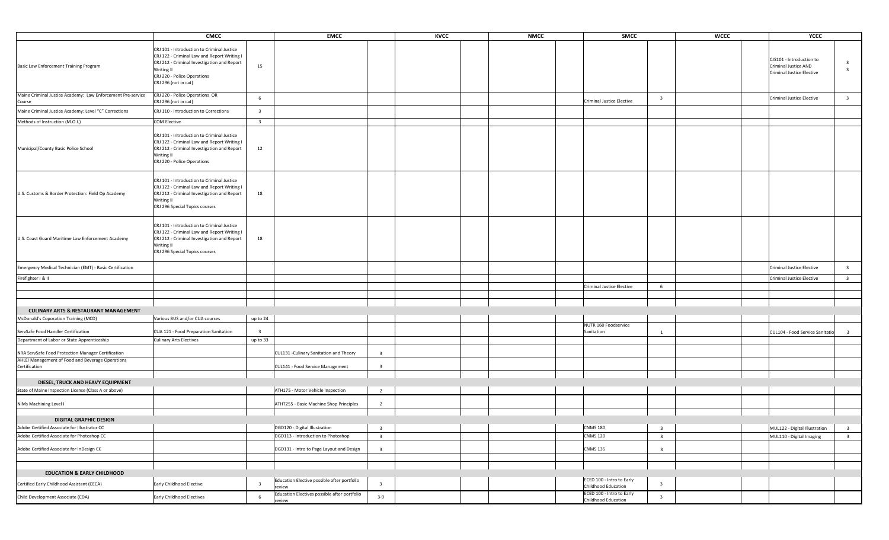|                                                                                            | CMCC                                                                                                                                                                                                                | <b>EMCC</b>                                            |                         | <b>KVCC</b> | <b>NMCC</b> | <b>SMCC</b>                                      |                         | <b>WCCC</b> | YCCC                                                                                 |                                                    |
|--------------------------------------------------------------------------------------------|---------------------------------------------------------------------------------------------------------------------------------------------------------------------------------------------------------------------|--------------------------------------------------------|-------------------------|-------------|-------------|--------------------------------------------------|-------------------------|-------------|--------------------------------------------------------------------------------------|----------------------------------------------------|
| Basic Law Enforcement Training Program                                                     | CRJ 101 - Introduction to Criminal Justice<br>CRJ 122 - Criminal Law and Report Writing I<br>CRJ 212 - Criminal Investigation and Report<br>15<br>Writing II<br>CRJ 220 - Police Operations<br>CRJ 296 (not in cat) |                                                        |                         |             |             |                                                  |                         |             | CJS101 - Introduction to<br>Criminal Justice AND<br><b>Criminal Justice Elective</b> | $\overline{\mathbf{3}}$<br>$\overline{\mathbf{3}}$ |
| Maine Criminal Justice Academy: Law Enforcement Pre-service<br>Course                      | CRJ 220 - Police Operations OR<br>-6<br>CRJ 296 (not in cat)                                                                                                                                                        |                                                        |                         |             |             | <b>Criminal Justice Elective</b>                 | $\overline{\mathbf{3}}$ |             | Criminal Justice Elective                                                            | $\overline{\mathbf{3}}$                            |
| Maine Criminal Justice Academy: Level "C" Corrections                                      | CRJ 110 - Introduction to Corrections<br>$\overline{\mathbf{3}}$                                                                                                                                                    |                                                        |                         |             |             |                                                  |                         |             |                                                                                      |                                                    |
| Methods of Instruction (M.O.I.)                                                            | <b>COM Elective</b><br>$\overline{\mathbf{3}}$                                                                                                                                                                      |                                                        |                         |             |             |                                                  |                         |             |                                                                                      |                                                    |
| Municipal/County Basic Police School                                                       | CRJ 101 - Introduction to Criminal Justice<br>CRJ 122 - Criminal Law and Report Writing I<br>CRJ 212 - Criminal Investigation and Report<br>12<br>Writing II<br>CRJ 220 - Police Operations                         |                                                        |                         |             |             |                                                  |                         |             |                                                                                      |                                                    |
| U.S. Customs & Border Protection: Field Op Academy                                         | CRJ 101 - Introduction to Criminal Justice<br>CRJ 122 - Criminal Law and Report Writing I<br>CRJ 212 - Criminal Investigation and Report<br>18<br>Writing II<br>CRJ 296 Special Topics courses                      |                                                        |                         |             |             |                                                  |                         |             |                                                                                      |                                                    |
| U.S. Coast Guard Maritime Law Enforcement Academy                                          | CRJ 101 - Introduction to Criminal Justice<br>CRJ 122 - Criminal Law and Report Writing I<br>CRJ 212 - Criminal Investigation and Report<br>18<br>Writing II<br>CRJ 296 Special Topics courses                      |                                                        |                         |             |             |                                                  |                         |             |                                                                                      |                                                    |
| Emergency Medical Technician (EMT) - Basic Certification                                   |                                                                                                                                                                                                                     |                                                        |                         |             |             |                                                  |                         |             | Criminal Justice Elective                                                            | $\overline{\mathbf{3}}$                            |
| Firefighter I & II                                                                         |                                                                                                                                                                                                                     |                                                        |                         |             |             |                                                  |                         |             | <b>Criminal Justice Elective</b>                                                     | $\overline{\mathbf{3}}$                            |
|                                                                                            |                                                                                                                                                                                                                     |                                                        |                         |             |             | Criminal Justice Elective                        | 6                       |             |                                                                                      |                                                    |
|                                                                                            |                                                                                                                                                                                                                     |                                                        |                         |             |             |                                                  |                         |             |                                                                                      |                                                    |
|                                                                                            |                                                                                                                                                                                                                     |                                                        |                         |             |             |                                                  |                         |             |                                                                                      |                                                    |
| <b>CULINARY ARTS &amp; RESTAURANT MANAGEMENT</b>                                           | Various BUS and/or CUA courses<br>up to 24                                                                                                                                                                          |                                                        |                         |             |             |                                                  |                         |             |                                                                                      |                                                    |
| McDonald's Coporation Training (MCD)                                                       |                                                                                                                                                                                                                     |                                                        |                         |             |             | NUTR 160 Foodservice                             |                         |             |                                                                                      |                                                    |
| ServSafe Food Handler Certification                                                        | CUA 121 - Food Preparation Sanitation<br>$\overline{\mathbf{3}}$                                                                                                                                                    |                                                        |                         |             |             | Sanitation                                       | <sup>1</sup>            |             | CUL104 - Food Service Sanitatic                                                      | 3                                                  |
| Department of Labor or State Apprenticeship                                                | <b>Culinary Arts Electives</b><br>up to 33                                                                                                                                                                          |                                                        |                         |             |             |                                                  |                         |             |                                                                                      |                                                    |
| NRA ServSafe Food Protection Manager Certification                                         |                                                                                                                                                                                                                     | CUL131 - Culinary Sanitation and Theory                | $\overline{\mathbf{3}}$ |             |             |                                                  |                         |             |                                                                                      |                                                    |
| AHLEI Management of Food and Beverage Operations<br>Certification                          |                                                                                                                                                                                                                     | CUL141 - Food Service Management                       | $\overline{\mathbf{3}}$ |             |             |                                                  |                         |             |                                                                                      |                                                    |
|                                                                                            |                                                                                                                                                                                                                     |                                                        |                         |             |             |                                                  |                         |             |                                                                                      |                                                    |
| DIESEL, TRUCK AND HEAVY EQUIPMENT                                                          |                                                                                                                                                                                                                     |                                                        |                         |             |             |                                                  |                         |             |                                                                                      |                                                    |
| State of Maine Inspection License (Class A or above)                                       |                                                                                                                                                                                                                     | ATH175 - Motor Vehicle Inspection                      | $\overline{2}$          |             |             |                                                  |                         |             |                                                                                      |                                                    |
| NIMs Machining Level I                                                                     |                                                                                                                                                                                                                     | ATHT255 - Basic Machine Shop Principles                | $\overline{2}$          |             |             |                                                  |                         |             |                                                                                      |                                                    |
|                                                                                            |                                                                                                                                                                                                                     |                                                        |                         |             |             |                                                  |                         |             |                                                                                      |                                                    |
| <b>DIGITAL GRAPHIC DESIGN</b>                                                              |                                                                                                                                                                                                                     | DGD120 - Digital Illustration                          | $\overline{\mathbf{3}}$ |             |             |                                                  | $\overline{\mathbf{3}}$ |             |                                                                                      |                                                    |
| Adobe Certified Associate for Illustrator CC<br>Adobe Certified Associate for Photoshop CC |                                                                                                                                                                                                                     | DGD113 - Introduction to Photoshop                     | $\overline{\mathbf{3}}$ |             |             | CNMS 180<br><b>CNMS 120</b>                      | $\overline{\mathbf{3}}$ |             | MUL122 - Digital Illustration<br>MUL110 - Digital Imaging                            | $\overline{\mathbf{3}}$<br>$\overline{\mathbf{3}}$ |
|                                                                                            |                                                                                                                                                                                                                     |                                                        |                         |             |             |                                                  |                         |             |                                                                                      |                                                    |
| Adobe Certified Associate for InDesign CC                                                  |                                                                                                                                                                                                                     | DGD131 - Intro to Page Layout and Design               | $\overline{\mathbf{3}}$ |             |             | <b>CNMS 135</b>                                  | $\overline{\mathbf{3}}$ |             |                                                                                      |                                                    |
|                                                                                            |                                                                                                                                                                                                                     |                                                        |                         |             |             |                                                  |                         |             |                                                                                      |                                                    |
| <b>EDUCATION &amp; EARLY CHILDHOOD</b>                                                     |                                                                                                                                                                                                                     |                                                        |                         |             |             |                                                  |                         |             |                                                                                      |                                                    |
| Certified Early Childhood Assistant (CECA)                                                 | Early Childhood Elective<br>$\overline{\mathbf{3}}$                                                                                                                                                                 | Education Elective possible after portfolio<br>review  | $\overline{\mathbf{3}}$ |             |             | ECED 100 - Intro to Early<br>Childhood Education | $\overline{\mathbf{3}}$ |             |                                                                                      |                                                    |
| Child Development Associate (CDA)                                                          | Early Childhood Electives<br>6                                                                                                                                                                                      | Education Electives possible after portfolio<br>review | $3 - 9$                 |             |             | ECED 100 - Intro to Early<br>Childhood Education | $\overline{\mathbf{3}}$ |             |                                                                                      |                                                    |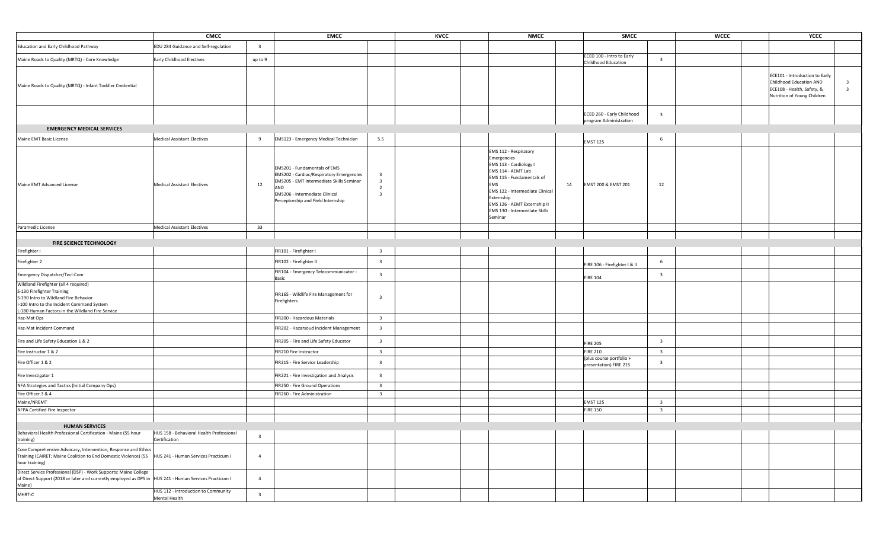|                                                                                                                                                                                                               | <b>CMCC</b>                                               |                         | <b>EMCC</b>                                                                                                                                                                                         |                                                                                        | <b>KVCC</b> | <b>NMCC</b>                                                                                                                                                                                                                                                 | <b>SMCC</b>                                          |                         | <b>WCCC</b> | YCCC                                                                                                                   |                                                    |
|---------------------------------------------------------------------------------------------------------------------------------------------------------------------------------------------------------------|-----------------------------------------------------------|-------------------------|-----------------------------------------------------------------------------------------------------------------------------------------------------------------------------------------------------|----------------------------------------------------------------------------------------|-------------|-------------------------------------------------------------------------------------------------------------------------------------------------------------------------------------------------------------------------------------------------------------|------------------------------------------------------|-------------------------|-------------|------------------------------------------------------------------------------------------------------------------------|----------------------------------------------------|
| Education and Early Childhood Pathway                                                                                                                                                                         | EDU 284 Guidance and Self-regulation                      | $\overline{\mathbf{3}}$ |                                                                                                                                                                                                     |                                                                                        |             |                                                                                                                                                                                                                                                             |                                                      |                         |             |                                                                                                                        |                                                    |
| Maine Roads to Quality (MRTQ) - Core Knowledge                                                                                                                                                                | <b>Early Childhood Electives</b>                          | up to 9                 |                                                                                                                                                                                                     |                                                                                        |             |                                                                                                                                                                                                                                                             | ECED 100 - Intro to Early<br>Childhood Education     | $\overline{\mathbf{3}}$ |             |                                                                                                                        |                                                    |
| Maine Roads to Quality (MRTQ) - Infant Toddler Credential                                                                                                                                                     |                                                           |                         |                                                                                                                                                                                                     |                                                                                        |             |                                                                                                                                                                                                                                                             |                                                      |                         |             | ECE101 - Introduction to Early<br>Childhood Education AND<br>ECE108 - Health, Safety, &<br>Nutrition of Young Children | $\overline{\mathbf{3}}$<br>$\overline{\mathbf{3}}$ |
|                                                                                                                                                                                                               |                                                           |                         |                                                                                                                                                                                                     |                                                                                        |             |                                                                                                                                                                                                                                                             | ECED 260 - Early Childhood<br>program Administration | $\overline{\mathbf{3}}$ |             |                                                                                                                        |                                                    |
| <b>EMERGENCY MEDICAL SERVICES</b>                                                                                                                                                                             |                                                           |                         |                                                                                                                                                                                                     |                                                                                        |             |                                                                                                                                                                                                                                                             |                                                      |                         |             |                                                                                                                        |                                                    |
| Maine EMT Basic License                                                                                                                                                                                       | <b>Medical Assistant Electives</b>                        | 9                       | EMS123 - Emergency Medical Technician                                                                                                                                                               | 5.5                                                                                    |             |                                                                                                                                                                                                                                                             |                                                      | 6                       |             |                                                                                                                        |                                                    |
|                                                                                                                                                                                                               |                                                           |                         |                                                                                                                                                                                                     |                                                                                        |             |                                                                                                                                                                                                                                                             | <b>EMST 125</b>                                      |                         |             |                                                                                                                        |                                                    |
| Maine EMT Advanced License                                                                                                                                                                                    | <b>Medical Assistant Electives</b>                        | 12                      | EMS201 - Fundamentals of EMS<br>EMS202 - Cardiac/Respiratory Emergencies<br>EMS205 - EMT Intermediate Skills Seminar<br>AND<br>EMS206 - Intermediate Clinical<br>Perceptorship and Field Internship | $\overline{3}$<br>$\overline{\mathbf{3}}$<br>$\overline{2}$<br>$\overline{\mathbf{3}}$ |             | EMS 112 - Respiratory<br>Emergencies<br>EMS 113 - Cardiology I<br>EMS 114 - AEMT Lab<br>EMS 115 - Fundamentals of<br>EMS<br>14<br>EMS 122 - Intermediate Clinical<br>Externship<br>EMS 126 - AEMT Externship II<br>EMS 130 - Intermediate Skills<br>Seminar | EMST 200 & EMST 201                                  | 12                      |             |                                                                                                                        |                                                    |
| Paramedic License                                                                                                                                                                                             | <b>Medical Assistant Electives</b>                        | 33                      |                                                                                                                                                                                                     |                                                                                        |             |                                                                                                                                                                                                                                                             |                                                      |                         |             |                                                                                                                        |                                                    |
|                                                                                                                                                                                                               |                                                           |                         |                                                                                                                                                                                                     |                                                                                        |             |                                                                                                                                                                                                                                                             |                                                      |                         |             |                                                                                                                        |                                                    |
| FIRE SCIENCE TECHNOLOGY                                                                                                                                                                                       |                                                           |                         |                                                                                                                                                                                                     |                                                                                        |             |                                                                                                                                                                                                                                                             |                                                      |                         |             |                                                                                                                        |                                                    |
| irefighter I                                                                                                                                                                                                  |                                                           |                         | FIR101 - Firefighter I                                                                                                                                                                              | $\overline{\mathbf{3}}$                                                                |             |                                                                                                                                                                                                                                                             |                                                      |                         |             |                                                                                                                        |                                                    |
| Firefighter 2                                                                                                                                                                                                 |                                                           |                         | FIR102 - Firefighter II                                                                                                                                                                             | $\overline{\mathbf{3}}$                                                                |             |                                                                                                                                                                                                                                                             | FIRE 106 - Firefighter I & II                        | 6                       |             |                                                                                                                        |                                                    |
| Emergency Dispatcher/Tecl-Com                                                                                                                                                                                 |                                                           |                         | FIR104 - Emergency Telecommunicator -<br>Basic                                                                                                                                                      | $\overline{\mathbf{3}}$                                                                |             |                                                                                                                                                                                                                                                             | <b>FIRE 104</b>                                      | $\overline{\mathbf{3}}$ |             |                                                                                                                        |                                                    |
| Wildland Firefighter (all 4 required)<br>S-130 Firefighter Training<br>S-190 Intro to Wildland Fire Behavior<br>I-100 Intro to the Incident Command System<br>-180 Human Factors in the Wildland Fire Service |                                                           |                         | FIR165 - Wildlife Fire Management for<br>Firefighters                                                                                                                                               | $\overline{\mathbf{3}}$                                                                |             |                                                                                                                                                                                                                                                             |                                                      |                         |             |                                                                                                                        |                                                    |
| Haz-Mat Ops                                                                                                                                                                                                   |                                                           |                         | FIR200 - Hazardous Materials                                                                                                                                                                        | $\overline{\mathbf{3}}$                                                                |             |                                                                                                                                                                                                                                                             |                                                      |                         |             |                                                                                                                        |                                                    |
| Haz-Mat Incident Command                                                                                                                                                                                      |                                                           |                         | FIR202 - Hazarsoud Incident Management                                                                                                                                                              | $\overline{\mathbf{3}}$                                                                |             |                                                                                                                                                                                                                                                             |                                                      |                         |             |                                                                                                                        |                                                    |
| Fire and Life Safety Education 1 & 2                                                                                                                                                                          |                                                           |                         | FIR205 - Fire and Life Safety Educator                                                                                                                                                              | $\overline{\mathbf{3}}$                                                                |             |                                                                                                                                                                                                                                                             | <b>FIRE 205</b>                                      | $\overline{\mathbf{3}}$ |             |                                                                                                                        |                                                    |
| Fire Instructor 1 & 2                                                                                                                                                                                         |                                                           |                         | FIR210 Fire Instructor                                                                                                                                                                              | $\overline{\mathbf{3}}$                                                                |             |                                                                                                                                                                                                                                                             | <b>FIRE 210</b>                                      | $\overline{\mathbf{3}}$ |             |                                                                                                                        |                                                    |
| Fire Officer 1 & 2                                                                                                                                                                                            |                                                           |                         | FIR215 - Fire Service Leadership                                                                                                                                                                    | $\overline{\mathbf{3}}$                                                                |             |                                                                                                                                                                                                                                                             | (plus course portfolio +<br>presentation) FIRE 215   | $\overline{\mathbf{3}}$ |             |                                                                                                                        |                                                    |
| Fire Investigator 1                                                                                                                                                                                           |                                                           |                         | FIR221 - Fire Investigation and Analysis                                                                                                                                                            | $\overline{\mathbf{3}}$                                                                |             |                                                                                                                                                                                                                                                             |                                                      |                         |             |                                                                                                                        |                                                    |
| NFA Strategies and Tactics (Initial Company Ops)                                                                                                                                                              |                                                           |                         | FIR250 - Fire Ground Operations                                                                                                                                                                     | $\overline{\mathbf{3}}$                                                                |             |                                                                                                                                                                                                                                                             |                                                      |                         |             |                                                                                                                        |                                                    |
| Fire Officer 3 & 4                                                                                                                                                                                            |                                                           |                         | FIR260 - Fire Administration                                                                                                                                                                        | $\overline{\mathbf{3}}$                                                                |             |                                                                                                                                                                                                                                                             |                                                      |                         |             |                                                                                                                        |                                                    |
| Maine/NREMT                                                                                                                                                                                                   |                                                           |                         |                                                                                                                                                                                                     |                                                                                        |             |                                                                                                                                                                                                                                                             | <b>EMST 125</b>                                      | $\overline{\mathbf{3}}$ |             |                                                                                                                        |                                                    |
| NFPA Certified Fire Inspector                                                                                                                                                                                 |                                                           |                         |                                                                                                                                                                                                     |                                                                                        |             |                                                                                                                                                                                                                                                             | <b>FIRE 150</b>                                      | $\overline{\mathbf{3}}$ |             |                                                                                                                        |                                                    |
| <b>HUMAN SERVICES</b>                                                                                                                                                                                         |                                                           |                         |                                                                                                                                                                                                     |                                                                                        |             |                                                                                                                                                                                                                                                             |                                                      |                         |             |                                                                                                                        |                                                    |
| Behavioral Health Professional Certification - Maine (55 hour<br>training)                                                                                                                                    | HUS 158 - Behavioral Health Professional<br>Certification | $\overline{\mathbf{3}}$ |                                                                                                                                                                                                     |                                                                                        |             |                                                                                                                                                                                                                                                             |                                                      |                         |             |                                                                                                                        |                                                    |
| Core Comprehensive Advocacy, Intervention, Response and Ethics<br>Training (CAIRET; Maine Coalition to End Domestic Violence) (55   HUS 241 - Human Services Practicum I<br>hour training)                    |                                                           | $\overline{4}$          |                                                                                                                                                                                                     |                                                                                        |             |                                                                                                                                                                                                                                                             |                                                      |                         |             |                                                                                                                        |                                                    |
| Direct Service Professional (DSP) - Work Supports: Maine College<br>of Direct Support (2018 or later and currently employed as DPS in  HUS 241 - Human Services Practicum I<br>Maine)                         |                                                           | $\overline{4}$          |                                                                                                                                                                                                     |                                                                                        |             |                                                                                                                                                                                                                                                             |                                                      |                         |             |                                                                                                                        |                                                    |
| MHRT-C                                                                                                                                                                                                        | HUS 112 - Introduction to Community<br>Mental Health      | $\overline{\mathbf{3}}$ |                                                                                                                                                                                                     |                                                                                        |             |                                                                                                                                                                                                                                                             |                                                      |                         |             |                                                                                                                        |                                                    |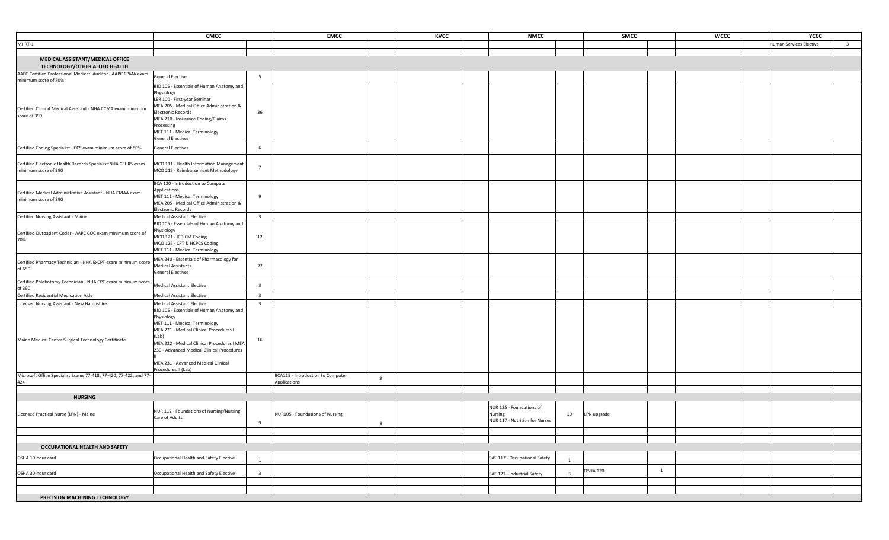|                                                                                       | <b>CMCC</b>                                                                                                                                                                                                                                                                                             |                         | <b>EMCC</b>                                                                  | KVCC | <b>NMCC</b>                                                           | SMCC                                       |              | <b>WCCC</b> | YCCC                    |                         |
|---------------------------------------------------------------------------------------|---------------------------------------------------------------------------------------------------------------------------------------------------------------------------------------------------------------------------------------------------------------------------------------------------------|-------------------------|------------------------------------------------------------------------------|------|-----------------------------------------------------------------------|--------------------------------------------|--------------|-------------|-------------------------|-------------------------|
| MHRT-1                                                                                |                                                                                                                                                                                                                                                                                                         |                         |                                                                              |      |                                                                       |                                            |              |             | Human Services Elective | $\overline{\mathbf{3}}$ |
|                                                                                       |                                                                                                                                                                                                                                                                                                         |                         |                                                                              |      |                                                                       |                                            |              |             |                         |                         |
| MEDICAL ASSISTANT/MEDICAL OFFICE<br>TECHNOLOGY/OTHER ALLIED HEALTH                    |                                                                                                                                                                                                                                                                                                         |                         |                                                                              |      |                                                                       |                                            |              |             |                         |                         |
| AAPC Certified Professional Medicatl Auditor - AAPC CPMA exam<br>minimum scote of 70% | <b>General Elective</b>                                                                                                                                                                                                                                                                                 | 5                       |                                                                              |      |                                                                       |                                            |              |             |                         |                         |
| Certified Clinical Medical Assistant - NHA CCMA exam minimum<br>score of 390          | BIO 105 - Essentials of Human Anatomy and<br>Physiology<br>LER 100 - First-year Seminar<br>MEA 205 - Medical Office Administration &<br>Electronic Records<br>MEA 210 - Insurance Coding/Claims<br>Processing<br>MET 111 - Medical Terminology<br><b>General Electives</b>                              | 36                      |                                                                              |      |                                                                       |                                            |              |             |                         |                         |
| Certified Coding Specialist - CCS exam minimum score of 80%                           | General Electives                                                                                                                                                                                                                                                                                       | 6                       |                                                                              |      |                                                                       |                                            |              |             |                         |                         |
| Certified Electronic Health Records Specialist:NHA CEHRS exam<br>minimum score of 390 | MCO 111 - Health Information Management<br>MCO 215 - Reimbursement Methodology                                                                                                                                                                                                                          | $\overline{7}$          |                                                                              |      |                                                                       |                                            |              |             |                         |                         |
| Certified Medical Administrative Assistant - NHA CMAA exam<br>minimum score of 390    | BCA 120 - Introduction to Computer<br>Applications<br>MET 111 - Medical Terminology<br>MEA 205 - Medical Office Administration &<br><b>Electronic Records</b>                                                                                                                                           | 9                       |                                                                              |      |                                                                       |                                            |              |             |                         |                         |
| Certified Nursing Assistant - Maine                                                   | Medical Assistant Elective                                                                                                                                                                                                                                                                              | $\overline{\mathbf{3}}$ |                                                                              |      |                                                                       |                                            |              |             |                         |                         |
| Certified Outpatient Coder - AAPC COC exam minimum score of<br>70%                    | BIO 105 - Essentials of Human Anatomy and<br>Physiology<br>MCO 121 - ICD CM Coding<br>MCO 125 - CPT & HCPCS Coding<br>MET 111 - Medical Terminology                                                                                                                                                     | 12                      |                                                                              |      |                                                                       |                                            |              |             |                         |                         |
| Certified Pharmacy Technician - NHA ExCPT exam minimum score<br>of 650                | MEA 240 - Essentials of Pharmacology for<br><b>Medical Assistants</b><br>General Electives                                                                                                                                                                                                              | 27                      |                                                                              |      |                                                                       |                                            |              |             |                         |                         |
| Certified Phlebotomy Technician - NHA CPT exam minimum score<br>of 390                | <b>Medical Assistant Elective</b>                                                                                                                                                                                                                                                                       | $\overline{\mathbf{3}}$ |                                                                              |      |                                                                       |                                            |              |             |                         |                         |
| Certified Residential Medication Aide                                                 | <b>Medical Assistant Elective</b>                                                                                                                                                                                                                                                                       | $\overline{\mathbf{3}}$ |                                                                              |      |                                                                       |                                            |              |             |                         |                         |
| Licensed Nursing Assistant - New Hampshire                                            | Medical Assistant Elective                                                                                                                                                                                                                                                                              | $\overline{\mathbf{3}}$ |                                                                              |      |                                                                       |                                            |              |             |                         |                         |
| Maine Medical Center Surgical Technology Certificate                                  | BIO 105 - Essentials of Human Anatomy and<br>Physiology<br>MET 111 - Medical Terminology<br>MEA 221 - Medical Clinical Procedures I<br>(Lab)<br>MEA 222 - Medical Clinical Procedures I MEA<br>230 - Advanced Medical Clinical Procedures<br>MEA 231 - Advanced Medical Clinical<br>Procedures II (Lab) | 16                      |                                                                              |      |                                                                       |                                            |              |             |                         |                         |
| Microsoft Office Specialist Exams 77-418, 77-420, 77-422, and 77-<br>424              |                                                                                                                                                                                                                                                                                                         |                         | BCA115 - Introduction to Computer<br>$\overline{\mathbf{3}}$<br>Applications |      |                                                                       |                                            |              |             |                         |                         |
| <b>NURSING</b>                                                                        |                                                                                                                                                                                                                                                                                                         |                         |                                                                              |      |                                                                       |                                            |              |             |                         |                         |
| Licensed Practical Nurse (LPN) - Maine                                                | NUR 112 - Foundations of Nursing/Nursing<br>Care of Adults                                                                                                                                                                                                                                              | 9                       | NUR105 - Foundations of Nursing<br>8                                         |      | NUR 125 - Foundations of<br>Nursing<br>NUR 117 - Nutrition for Nurses | 10<br>LPN upgrade                          |              |             |                         |                         |
|                                                                                       |                                                                                                                                                                                                                                                                                                         |                         |                                                                              |      |                                                                       |                                            |              |             |                         |                         |
| <b>OCCUPATIONAL HEALTH AND SAFETY</b>                                                 |                                                                                                                                                                                                                                                                                                         |                         |                                                                              |      |                                                                       |                                            |              |             |                         |                         |
| OSHA 10-hour card                                                                     | Occupational Health and Safety Elective                                                                                                                                                                                                                                                                 | $\overline{1}$          |                                                                              |      | SAE 117 - Occupational Safety                                         | $\overline{1}$                             |              |             |                         |                         |
| OSHA 30-hour card                                                                     | Occupational Health and Safety Elective                                                                                                                                                                                                                                                                 | $\overline{\mathbf{3}}$ |                                                                              |      | SAE 121 - Industrial Safety                                           | <b>OSHA 120</b><br>$\overline{\mathbf{3}}$ | $\mathbf{1}$ |             |                         |                         |
|                                                                                       |                                                                                                                                                                                                                                                                                                         |                         |                                                                              |      |                                                                       |                                            |              |             |                         |                         |
| PRECISION MACHINING TECHNOLOGY                                                        |                                                                                                                                                                                                                                                                                                         |                         |                                                                              |      |                                                                       |                                            |              |             |                         |                         |